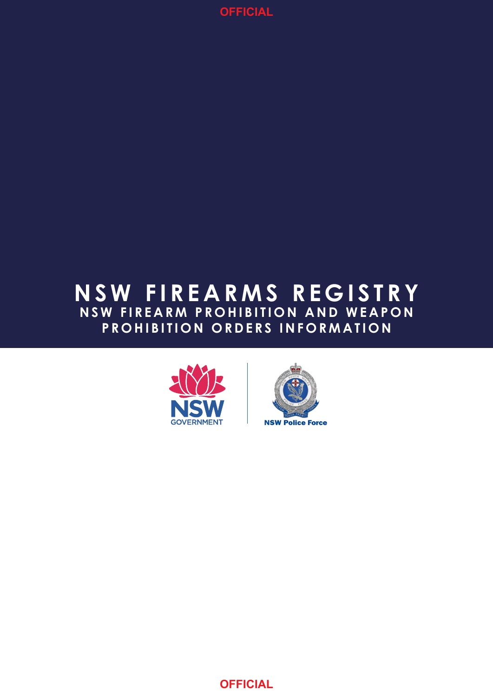

# **NSW FIREARMS REGISTRY NSW FIREARM PROHIBITION AND WEAPON PROHIBITION ORDERS INFORMATION**



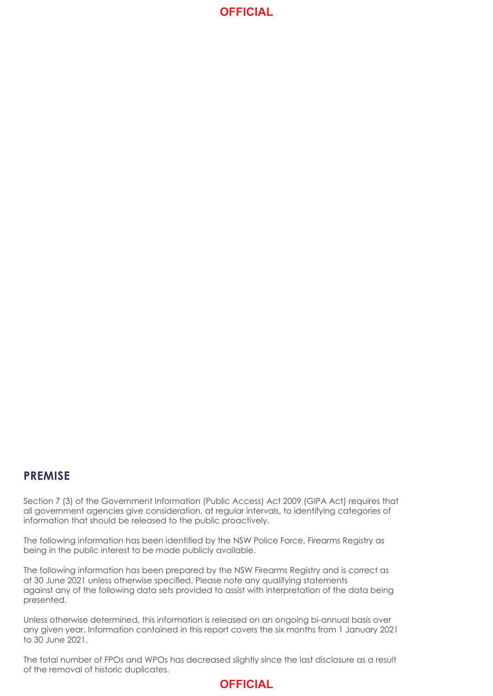## **OFFICIAL**

### **PREMISE**

Section 7 (3) of the Government Information (Public Access) Act 2009 (GIPA Act) requires that all government agencies give consideration, at regular intervals, to identifying categories of information that should be released to the public proactively.

The following information has been identified by the NSW Police Force, Firearms Registry as being in the public interest to be made publicly available.

The following information has been prepared by the NSW Firearms Registry and is correct as at 30 June 2021 unless otherwise specified. Please note any qualifying statements against any of the following data sets provided to assist with interpretation of the data being presented.

Unless otherwise determined, this information is released on an ongoing bi-annual basis over any given year. Information contained in this report covers the six months from 1 January 2021 to 30 June 2021.

The total number of FPOs and WPOs has decreased slightly since the last disclosure as a result of the removal of historic duplicates.

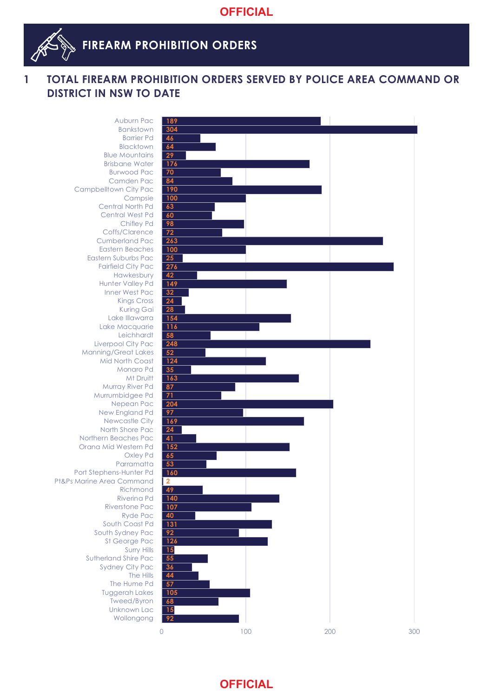

# **FIREARM PROHIBITION ORDERS**

### **1 TOTAL FIREARM PROHIBITION ORDERS SERVED BY POLICE AREA COMMAND OR DISTRICT IN NSW TO DATE**

 Wollongong Unknown Lac Tweed/Byron Tuggerah Lakes The Hume Pd The Hills Sydney City Pac Sutherland Shire Pac Surry Hills St George Pac South Sydney Pac South Coast Pd Ryde Pac Riverstone Pac Riverina Pd Richmond Pt&Ps Marine Area Command Port Stephens-Hunter Pd Parramatta Oxley Pd Orana Mid Western Pd Northern Beaches Pac North Shore Pac Newcastle City New England Pd Nepean Pac Murrumbidgee Pd Murray River Pd **Mt Druitt**  Monaro Pd Mid North Coast Manning/Great Lakes Liverpool City Pac **Leichhardt**  Lake Macquarie Lake Illawarra Kuring Gai Kings Cross Inner West Pac Hunter Valley Pd Hawkesbury Fairfield City Pac Eastern Suburbs Pac Eastern Beaches Cumberland Pac Coffs/Clarence Chifley Pd Central West Pd Central North Pd Campsie Campbelltown City Pac Camden Pac Burwood Pac Brisbane Water Blue Mountains **Blacktown**  Barrier Pd Bankstown

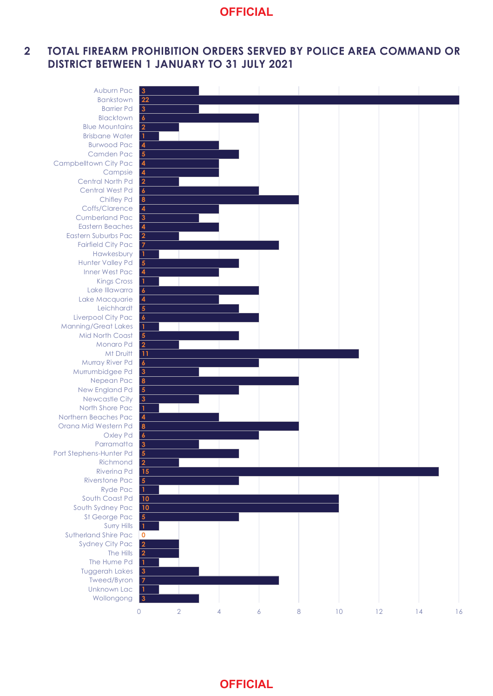# **OFFICIAL**

#### **2 TOTAL FIREARM PROHIBITION ORDERS SERVED BY POLICE AREA COMMAND OR DISTRICT BETWEEN 1 JANUARY TO 31 JULY 2021**

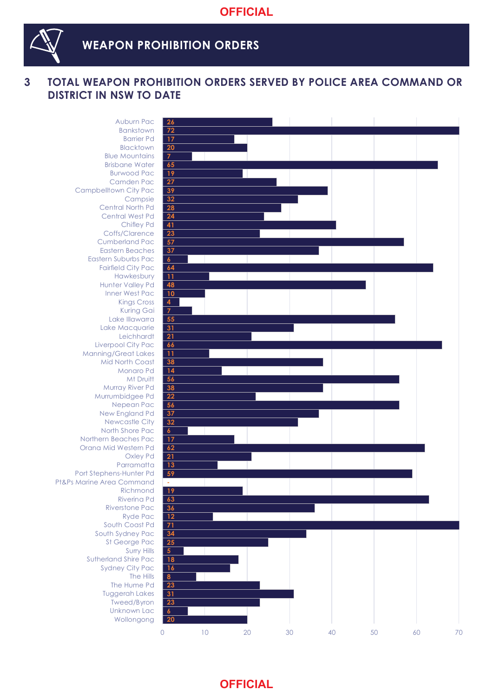

### **WEAPON PROHIBITION ORDERS**

### **3 TOTAL WEAPON PROHIBITION ORDERS SERVED BY POLICE AREA COMMAND OR DISTRICT IN NSW TO DATE**

**20 6 23 31 23 8 16 18 5 25 34 71 12 36 63 19 - 59 13 21 62 17 6 32 37 56 22 38 56 14 38 11 66 21 31 55 7 4 10 48 11 64 37 57 23 41 24 28 32 39 27 19 65 7 20 17 72 26**  0 10 20 30 40 50 60 70 Wollongong Unknown Lac Tweed/Byron Tuggerah Lakes The Hume Pd The Hills Sydney City Pac Sutherland Shire Pac Surry Hills St George Pac South Sydney Pac South Coast Pd Ryde Pac Riverstone Pac Riverina Pd Richmond Pt&Ps Marine Area Command Port Stephens-Hunter Pd Parramatta Oxley Pd Orana Mid Western Pd Northern Beaches Pac North Shore Pac Newcastle City New England Pd Nepean Pac Murrumbidgee Pd Murray River Pd Mt Druitt Monaro Pd Mid North Coast Manning/Great Lakes Liverpool City Pac **Leichhardt**  Lake Macquarie Lake Illawarra Kuring Gai Kings Cross Inner West Pac Hunter Valley Pd Hawkesbury Fairfield City Pac Eastern Suburbs Pac Eastern Beaches Cumberland Pac Coffs/Clarence Chifley Pd Central West Pd Central North Pd Campsie Campbelltown City Pac Camden Pac Burwood Pac Brisbane Water Blue Mountains **Blacktown**  Barrier Pd Bankstown Auburn Pac